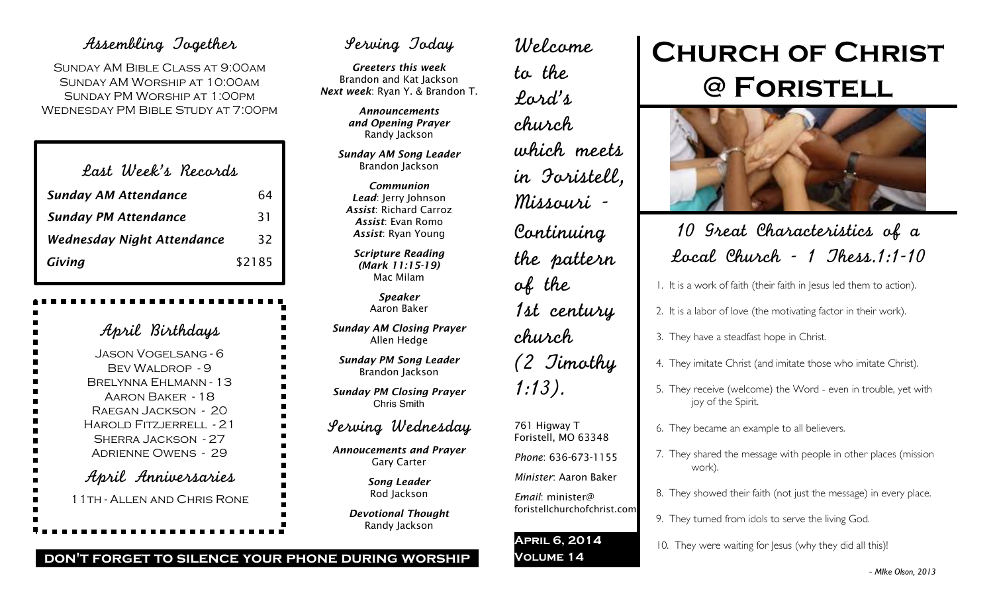## Assembling Together

SUNDAY AM BIBLE CLASS AT 9:00AM Sunday AM Worship at 10:00am Sunday PM Worship at 1:00pm Wednesday PM Bible Study at 7:00pm

| Last Week's Records               |        |
|-----------------------------------|--------|
| <b>Sunday AM Attendance</b>       | 64     |
| <b>Sunday PM Attendance</b>       | 31     |
| <b>Wednesday Night Attendance</b> | 32     |
| Giving                            | \$2185 |

| April Birthdays                                                                                                                                                                                                 |
|-----------------------------------------------------------------------------------------------------------------------------------------------------------------------------------------------------------------|
| <b>JASON VOGELSANG - 6</b><br><b>BEV WALDROP - 9</b><br>BRELYNNA EHLMANN - 13<br>Aaron Baker - 18<br>RAEGAN JACKSON - 20<br>HAROLD FITZJERRELL - 21<br><b>SHERRA JACKSON - 27</b><br><b>ADRIENNE OWENS - 29</b> |
| April Anniversaries<br>11TH - ALLEN AND CHRIS RONE                                                                                                                                                              |

## Serving Today

*Greeters this week* Brandon and Kat Jackson *Next week*: Ryan Y. & Brandon T.

> *Announcements and Opening Prayer* Randy Jackson

*Sunday AM Song Leader* Brandon Jackson

*Communion Lead*: Jerry Johnson *Assist*: Richard Carroz *Assist*: Evan Romo *Assist*: Ryan Young

*Scripture Reading (Mark 11:15-19)* Mac Milam

> *Speaker* Aaron Baker

*Sunday AM Closing Prayer* Allen Hedge

*Sunday PM Song Leader* Brandon Jackson

*Sunday PM Closing Prayer* Chris Smith

## Serving Wednesday

*Annoucements and Prayer* Gary Carter

> *Song Leader* Rod Jackson

*Devotional Thought* Randy Jackson

Welcome to the Lord's church which meets in Foristell, Missouri - Continuing the pattern of the 1st century church (2 Timothy 1:13). 761 Higway T Foristell, MO 63348 *Phone*: 636-673-1155

### *Minister*: Aaron Baker

*Email*: minister@ foristellchurchofchrist.com

### **April 6, 2014 Volume 14**

# **Church of Christ @ Foristell**



## 10 Great Characteristics of a Local Church - 1 Thess.1:1-10

1. It is a work of faith (their faith in Jesus led them to action).

- 2. It is a labor of love (the motivating factor in their work).
- 3. They have a steadfast hope in Christ.
- 4. They imitate Christ (and imitate those who imitate Christ).
- 5. They receive (welcome) the Word even in trouble, yet with joy of the Spirit.
- 6. They became an example to all believers.
- 7. They shared the message with people in other places (mission work).
- 8. They showed their faith (not just the message) in every place.
- 9. They turned from idols to serve the living God.
- 10. They were waiting for lesus (why they did all this)!

### **don't forget to silence your phone during worship**